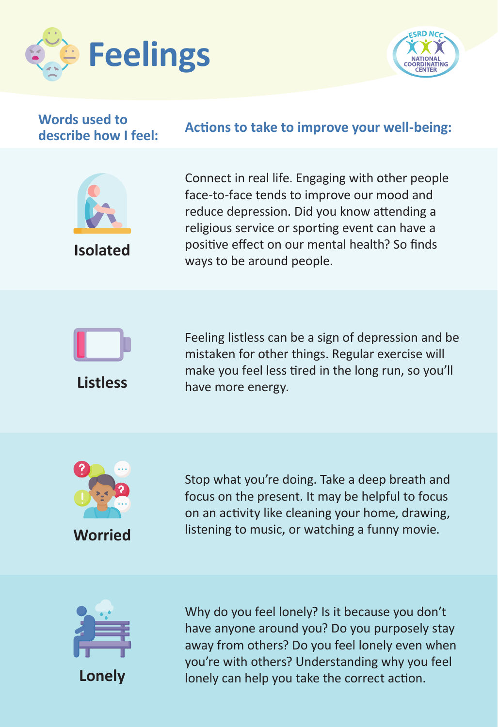



## **Words used to**

## **describe how I feel: Actions to take to improve your well-being:**



**Isolated**

Connect in real life. Engaging with other people face-to-face tends to improve our mood and reduce depression. Did you know attending a religious service or sporting event can have a positive effect on our mental health? So finds ways to be around people.

Feeling listless can be a sign of depression and be



**Listless** mistaken for other things. Regular exercise will make you feel less tired in the long run, so you'll have more energy.



Stop what you're doing. Take a deep breath and focus on the present. It may be helpful to focus on an activity like cleaning your home, drawing, listening to music, or watching a funny movie.



Why do you feel lonely? Is it because you don't have anyone around you? Do you purposely stay away from others? Do you feel lonely even when you're with others? Understanding why you feel lonely can help you take the correct action.